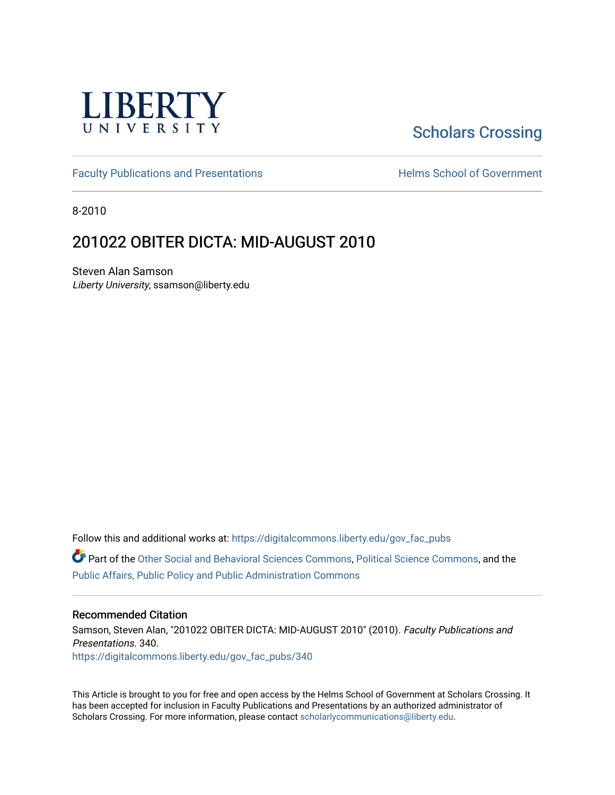

# [Scholars Crossing](https://digitalcommons.liberty.edu/)

[Faculty Publications and Presentations](https://digitalcommons.liberty.edu/gov_fac_pubs) **Exercise School of Government** 

8-2010

## 201022 OBITER DICTA: MID-AUGUST 2010

Steven Alan Samson Liberty University, ssamson@liberty.edu

Follow this and additional works at: [https://digitalcommons.liberty.edu/gov\\_fac\\_pubs](https://digitalcommons.liberty.edu/gov_fac_pubs?utm_source=digitalcommons.liberty.edu%2Fgov_fac_pubs%2F340&utm_medium=PDF&utm_campaign=PDFCoverPages)

Part of the [Other Social and Behavioral Sciences Commons](http://network.bepress.com/hgg/discipline/437?utm_source=digitalcommons.liberty.edu%2Fgov_fac_pubs%2F340&utm_medium=PDF&utm_campaign=PDFCoverPages), [Political Science Commons](http://network.bepress.com/hgg/discipline/386?utm_source=digitalcommons.liberty.edu%2Fgov_fac_pubs%2F340&utm_medium=PDF&utm_campaign=PDFCoverPages), and the [Public Affairs, Public Policy and Public Administration Commons](http://network.bepress.com/hgg/discipline/393?utm_source=digitalcommons.liberty.edu%2Fgov_fac_pubs%2F340&utm_medium=PDF&utm_campaign=PDFCoverPages)

#### Recommended Citation

Samson, Steven Alan, "201022 OBITER DICTA: MID-AUGUST 2010" (2010). Faculty Publications and Presentations. 340. [https://digitalcommons.liberty.edu/gov\\_fac\\_pubs/340](https://digitalcommons.liberty.edu/gov_fac_pubs/340?utm_source=digitalcommons.liberty.edu%2Fgov_fac_pubs%2F340&utm_medium=PDF&utm_campaign=PDFCoverPages)

This Article is brought to you for free and open access by the Helms School of Government at Scholars Crossing. It has been accepted for inclusion in Faculty Publications and Presentations by an authorized administrator of Scholars Crossing. For more information, please contact [scholarlycommunications@liberty.edu.](mailto:scholarlycommunications@liberty.edu)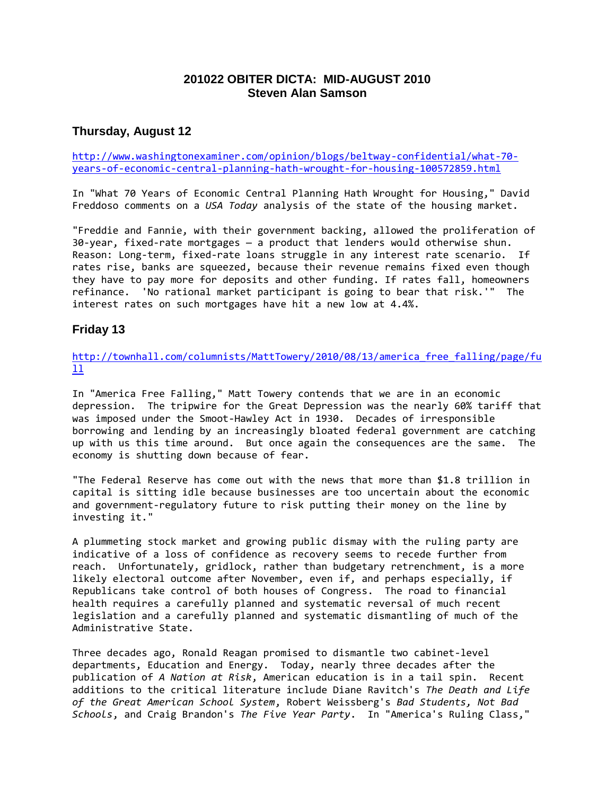## **201022 OBITER DICTA: MID-AUGUST 2010 Steven Alan Samson**

## **Thursday, August 12**

[http://www.washingtonexaminer.com/opinion/blogs/beltway-confidential/what-70](http://www.washingtonexaminer.com/opinion/blogs/beltway-confidential/what-70-years-of-economic-central-planning-hath-wrought-for-housing-100572859.html) [years-of-economic-central-planning-hath-wrought-for-housing-100572859.html](http://www.washingtonexaminer.com/opinion/blogs/beltway-confidential/what-70-years-of-economic-central-planning-hath-wrought-for-housing-100572859.html)

In "What 70 Years of Economic Central Planning Hath Wrought for Housing," David Freddoso comments on a *USA Today* analysis of the state of the housing market.

"Freddie and Fannie, with their government backing, allowed the proliferation of 30-year, fixed-rate mortgages — a product that lenders would otherwise shun. Reason: Long-term, fixed-rate loans struggle in any interest rate scenario. If rates rise, banks are squeezed, because their revenue remains fixed even though they have to pay more for deposits and other funding. If rates fall, homeowners refinance. 'No rational market participant is going to bear that risk.'" The interest rates on such mortgages have hit a new low at 4.4%.

## **Friday 13**

[http://townhall.com/columnists/MattTowery/2010/08/13/america\\_free\\_falling/page/fu](http://townhall.com/columnists/MattTowery/2010/08/13/america_free_falling/page/full)  $11$ 

In "America Free Falling," Matt Towery contends that we are in an economic depression. The tripwire for the Great Depression was the nearly 60% tariff that was imposed under the Smoot-Hawley Act in 1930. Decades of irresponsible borrowing and lending by an increasingly bloated federal government are catching up with us this time around. But once again the consequences are the same. The economy is shutting down because of fear.

"The Federal Reserve has come out with the news that more than \$1.8 trillion in capital is sitting idle because businesses are too uncertain about the economic and government-regulatory future to risk putting their money on the line by investing it."

A plummeting stock market and growing public dismay with the ruling party are indicative of a loss of confidence as recovery seems to recede further from reach. Unfortunately, gridlock, rather than budgetary retrenchment, is a more likely electoral outcome after November, even if, and perhaps especially, if Republicans take control of both houses of Congress. The road to financial health requires a carefully planned and systematic reversal of much recent legislation and a carefully planned and systematic dismantling of much of the Administrative State.

Three decades ago, Ronald Reagan promised to dismantle two cabinet-level departments, Education and Energy. Today, nearly three decades after the publication of *A Nation at Risk*, American education is in a tail spin. Recent additions to the critical literature include Diane Ravitch's *The Death and Life of the Great American School System*, Robert Weissberg's *Bad Students, Not Bad Schools*, and Craig Brandon's *The Five Year Party*. In "America's Ruling Class,"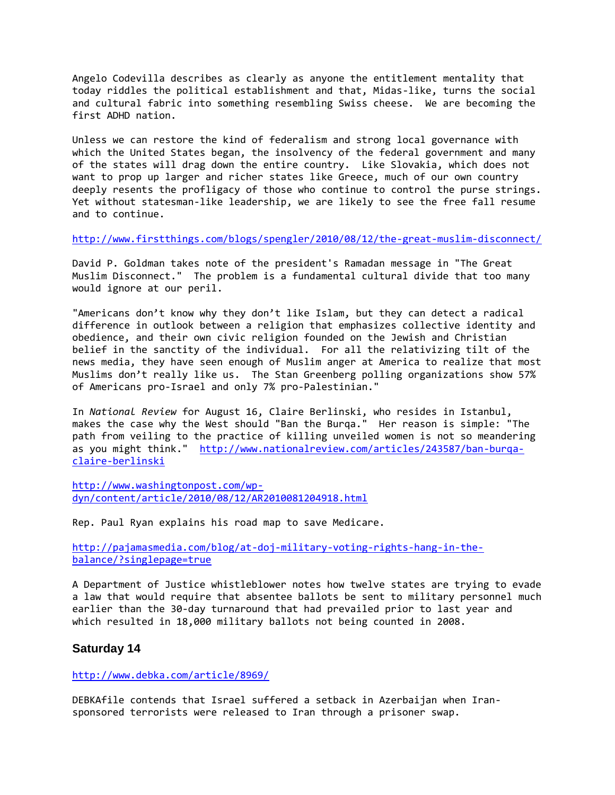Angelo Codevilla describes as clearly as anyone the entitlement mentality that today riddles the political establishment and that, Midas-like, turns the social and cultural fabric into something resembling Swiss cheese. We are becoming the first ADHD nation.

Unless we can restore the kind of federalism and strong local governance with which the United States began, the insolvency of the federal government and many of the states will drag down the entire country. Like Slovakia, which does not want to prop up larger and richer states like Greece, much of our own country deeply resents the profligacy of those who continue to control the purse strings. Yet without statesman-like leadership, we are likely to see the free fall resume and to continue.

<http://www.firstthings.com/blogs/spengler/2010/08/12/the-great-muslim-disconnect/>

David P. Goldman takes note of the president's Ramadan message in "The Great Muslim Disconnect." The problem is a fundamental cultural divide that too many would ignore at our peril.

"Americans don't know why they don't like Islam, but they can detect a radical difference in outlook between a religion that emphasizes collective identity and obedience, and their own civic religion founded on the Jewish and Christian belief in the sanctity of the individual. For all the relativizing tilt of the news media, they have seen enough of Muslim anger at America to realize that most Muslims don't really like us. The Stan Greenberg polling organizations show 57% of Americans pro-Israel and only 7% pro-Palestinian."

In *National Review* for August 16, Claire Berlinski, who resides in Istanbul, makes the case why the West should "Ban the Burqa." Her reason is simple: "The path from veiling to the practice of killing unveiled women is not so meandering as you might think." [http://www.nationalreview.com/articles/243587/ban-burqa](http://www.nationalreview.com/articles/243587/ban-burqa-claire-berlinski)[claire-berlinski](http://www.nationalreview.com/articles/243587/ban-burqa-claire-berlinski)

[http://www.washingtonpost.com/wp](http://www.washingtonpost.com/wp-dyn/content/article/2010/08/12/AR2010081204918.html)[dyn/content/article/2010/08/12/AR2010081204918.html](http://www.washingtonpost.com/wp-dyn/content/article/2010/08/12/AR2010081204918.html)

Rep. Paul Ryan explains his road map to save Medicare.

[http://pajamasmedia.com/blog/at-doj-military-voting-rights-hang-in-the](http://pajamasmedia.com/blog/at-doj-military-voting-rights-hang-in-the-balance/?singlepage=true)[balance/?singlepage=true](http://pajamasmedia.com/blog/at-doj-military-voting-rights-hang-in-the-balance/?singlepage=true)

A Department of Justice whistleblower notes how twelve states are trying to evade a law that would require that absentee ballots be sent to military personnel much earlier than the 30-day turnaround that had prevailed prior to last year and which resulted in 18,000 military ballots not being counted in 2008.

#### **Saturday 14**

<http://www.debka.com/article/8969/>

DEBKAfile contends that Israel suffered a setback in Azerbaijan when Iransponsored terrorists were released to Iran through a prisoner swap.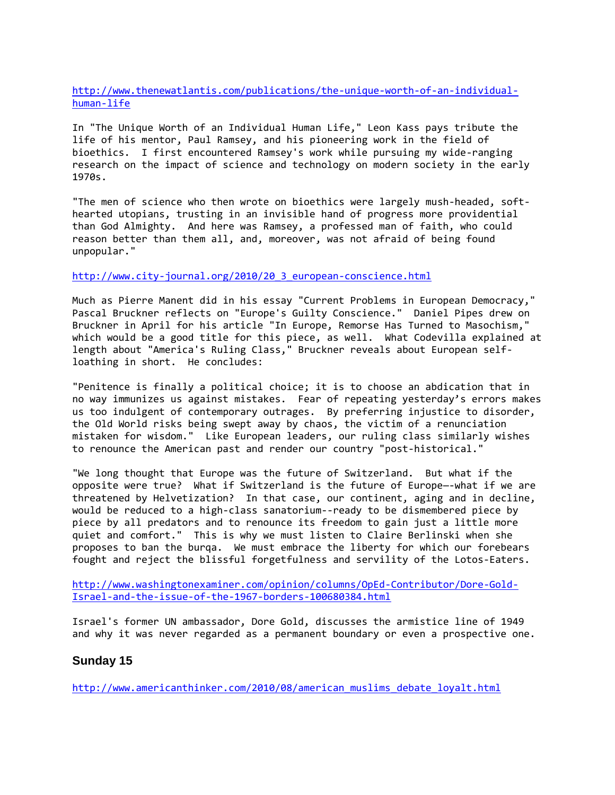[http://www.thenewatlantis.com/publications/the-unique-worth-of-an-individual](http://www.thenewatlantis.com/publications/the-unique-worth-of-an-individual-human-life)[human-life](http://www.thenewatlantis.com/publications/the-unique-worth-of-an-individual-human-life)

In "The Unique Worth of an Individual Human Life," Leon Kass pays tribute the life of his mentor, Paul Ramsey, and his pioneering work in the field of bioethics. I first encountered Ramsey's work while pursuing my wide-ranging research on the impact of science and technology on modern society in the early 1970s.

"The men of science who then wrote on bioethics were largely mush-headed, softhearted utopians, trusting in an invisible hand of progress more providential than God Almighty. And here was Ramsey, a professed man of faith, who could reason better than them all, and, moreover, was not afraid of being found unpopular."

#### [http://www.city-journal.org/2010/20\\_3\\_european-conscience.html](http://www.city-journal.org/2010/20_3_european-conscience.html)

Much as Pierre Manent did in his essay "Current Problems in European Democracy," Pascal Bruckner reflects on "Europe's Guilty Conscience." Daniel Pipes drew on Bruckner in April for his article "In Europe, Remorse Has Turned to Masochism," which would be a good title for this piece, as well. What Codevilla explained at length about "America's Ruling Class," Bruckner reveals about European selfloathing in short. He concludes:

"Penitence is finally a political choice; it is to choose an abdication that in no way immunizes us against mistakes. Fear of repeating yesterday's errors makes us too indulgent of contemporary outrages. By preferring injustice to disorder, the Old World risks being swept away by chaos, the victim of a renunciation mistaken for wisdom." Like European leaders, our ruling class similarly wishes to renounce the American past and render our country "post-historical."

"We long thought that Europe was the future of Switzerland. But what if the opposite were true? What if Switzerland is the future of Europe—-what if we are threatened by Helvetization? In that case, our continent, aging and in decline, would be reduced to a high-class sanatorium--ready to be dismembered piece by piece by all predators and to renounce its freedom to gain just a little more quiet and comfort." This is why we must listen to Claire Berlinski when she proposes to ban the burqa. We must embrace the liberty for which our forebears fought and reject the blissful forgetfulness and servility of the Lotos-Eaters.

[http://www.washingtonexaminer.com/opinion/columns/OpEd-Contributor/Dore-Gold-](http://www.washingtonexaminer.com/opinion/columns/OpEd-Contributor/Dore-Gold-Israel-and-the-issue-of-the-1967-borders-100680384.html)[Israel-and-the-issue-of-the-1967-borders-100680384.html](http://www.washingtonexaminer.com/opinion/columns/OpEd-Contributor/Dore-Gold-Israel-and-the-issue-of-the-1967-borders-100680384.html)

Israel's former UN ambassador, Dore Gold, discusses the armistice line of 1949 and why it was never regarded as a permanent boundary or even a prospective one.

#### **Sunday 15**

[http://www.americanthinker.com/2010/08/american\\_muslims\\_debate\\_loyalt.html](http://www.americanthinker.com/2010/08/american_muslims_debate_loyalt.html)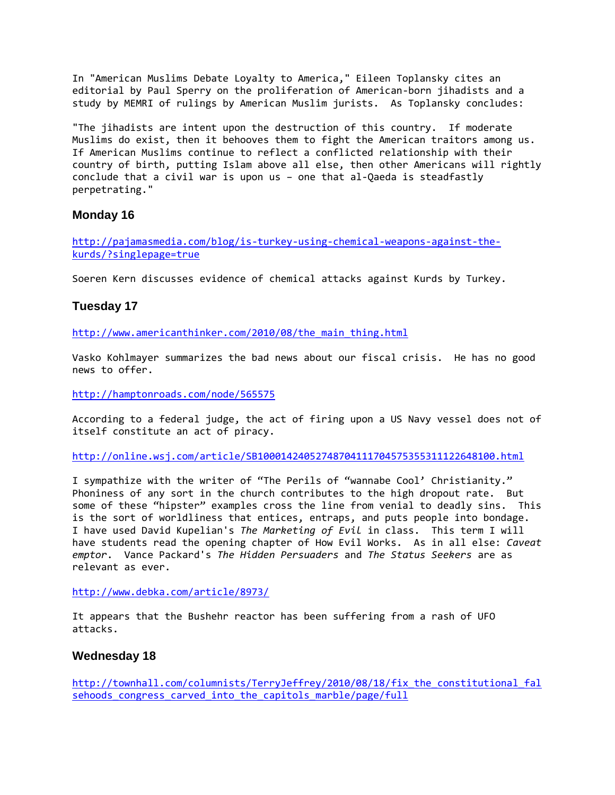In "American Muslims Debate Loyalty to America," Eileen Toplansky cites an editorial by Paul Sperry on the proliferation of American-born jihadists and a study by MEMRI of rulings by American Muslim jurists. As Toplansky concludes:

"The jihadists are intent upon the destruction of this country. If moderate Muslims do exist, then it behooves them to fight the American traitors among us. If American Muslims continue to reflect a conflicted relationship with their country of birth, putting Islam above all else, then other Americans will rightly conclude that a civil war is upon us – one that al-Qaeda is steadfastly perpetrating."

## **Monday 16**

[http://pajamasmedia.com/blog/is-turkey-using-chemical-weapons-against-the](http://pajamasmedia.com/blog/is-turkey-using-chemical-weapons-against-the-kurds/?singlepage=true)[kurds/?singlepage=true](http://pajamasmedia.com/blog/is-turkey-using-chemical-weapons-against-the-kurds/?singlepage=true)

Soeren Kern discusses evidence of chemical attacks against Kurds by Turkey.

## **Tuesday 17**

http://www.americanthinker.com/2010/08/the main thing.html

Vasko Kohlmayer summarizes the bad news about our fiscal crisis. He has no good news to offer.

<http://hamptonroads.com/node/565575>

According to a federal judge, the act of firing upon a US Navy vessel does not of itself constitute an act of piracy.

<http://online.wsj.com/article/SB10001424052748704111704575355311122648100.html>

I sympathize with the writer of "The Perils of "wannabe Cool' Christianity." Phoniness of any sort in the church contributes to the high dropout rate. But some of these "hipster" examples cross the line from venial to deadly sins. This is the sort of worldliness that entices, entraps, and puts people into bondage. I have used David Kupelian's *The Marketing of Evil* in class. This term I will have students read the opening chapter of How Evil Works. As in all else: *Caveat emptor*. Vance Packard's *The Hidden Persuaders* and *The Status Seekers* are as relevant as ever.

<http://www.debka.com/article/8973/>

It appears that the Bushehr reactor has been suffering from a rash of UFO attacks.

### **Wednesday 18**

[http://townhall.com/columnists/TerryJeffrey/2010/08/18/fix\\_the\\_constitutional\\_fal](http://townhall.com/columnists/TerryJeffrey/2010/08/18/fix_the_constitutional_falsehoods_congress_carved_into_the_capitols_marble/page/full) [sehoods\\_congress\\_carved\\_into\\_the\\_capitols\\_marble/page/full](http://townhall.com/columnists/TerryJeffrey/2010/08/18/fix_the_constitutional_falsehoods_congress_carved_into_the_capitols_marble/page/full)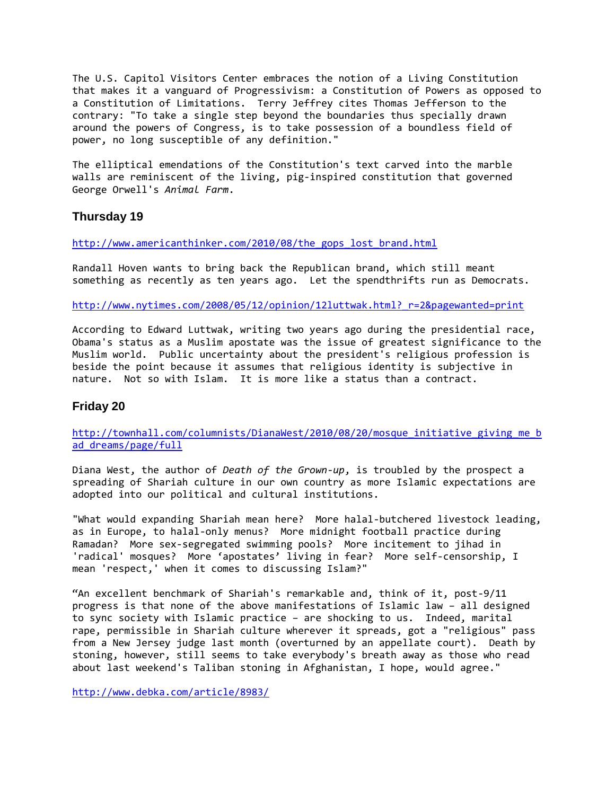The U.S. Capitol Visitors Center embraces the notion of a Living Constitution that makes it a vanguard of Progressivism: a Constitution of Powers as opposed to a Constitution of Limitations. Terry Jeffrey cites Thomas Jefferson to the contrary: "To take a single step beyond the boundaries thus specially drawn around the powers of Congress, is to take possession of a boundless field of power, no long susceptible of any definition."

The elliptical emendations of the Constitution's text carved into the marble walls are reminiscent of the living, pig-inspired constitution that governed George Orwell's *Animal Farm*.

### **Thursday 19**

[http://www.americanthinker.com/2010/08/the\\_gops\\_lost\\_brand.html](http://www.americanthinker.com/2010/08/the_gops_lost_brand.html)

Randall Hoven wants to bring back the Republican brand, which still meant something as recently as ten years ago. Let the spendthrifts run as Democrats.

[http://www.nytimes.com/2008/05/12/opinion/12luttwak.html?\\_r=2&pagewanted=print](http://www.nytimes.com/2008/05/12/opinion/12luttwak.html?_r=2&pagewanted=print)

According to Edward Luttwak, writing two years ago during the presidential race, Obama's status as a Muslim apostate was the issue of greatest significance to the Muslim world. Public uncertainty about the president's religious profession is beside the point because it assumes that religious identity is subjective in nature. Not so with Islam. It is more like a status than a contract.

## **Friday 20**

http://townhall.com/columnists/DianaWest/2010/08/20/mosque initiative giving me b [ad\\_dreams/page/full](http://townhall.com/columnists/DianaWest/2010/08/20/mosque_initiative_giving_me_bad_dreams/page/full)

Diana West, the author of *Death of the Grown-up*, is troubled by the prospect a spreading of Shariah culture in our own country as more Islamic expectations are adopted into our political and cultural institutions.

"What would expanding Shariah mean here? More halal-butchered livestock leading, as in Europe, to halal-only menus? More midnight football practice during Ramadan? More sex-segregated swimming pools? More incitement to jihad in 'radical' mosques? More 'apostates' living in fear? More self-censorship, I mean 'respect,' when it comes to discussing Islam?"

"An excellent benchmark of Shariah's remarkable and, think of it, post-9/11 progress is that none of the above manifestations of Islamic law – all designed to sync society with Islamic practice – are shocking to us. Indeed, marital rape, permissible in Shariah culture wherever it spreads, got a "religious" pass from a New Jersey judge last month (overturned by an appellate court). Death by stoning, however, still seems to take everybody's breath away as those who read about last weekend's Taliban stoning in Afghanistan, I hope, would agree."

<http://www.debka.com/article/8983/>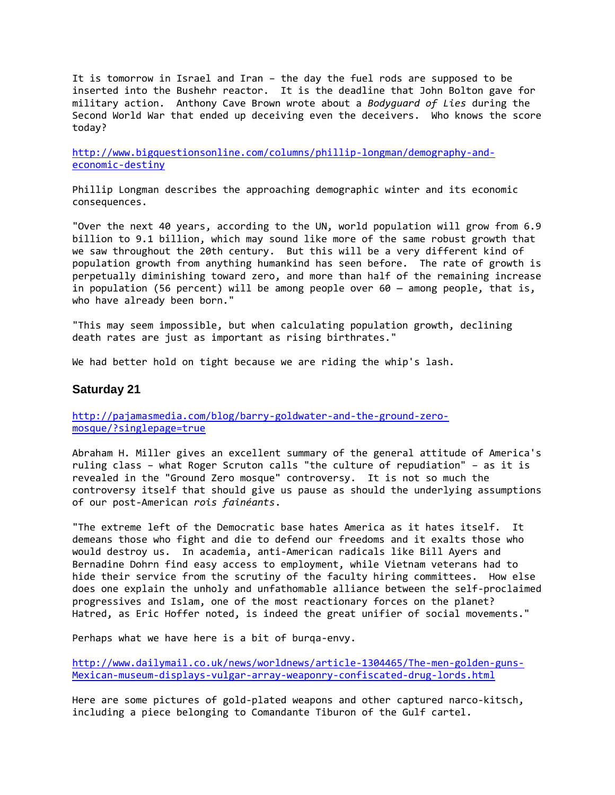It is tomorrow in Israel and Iran – the day the fuel rods are supposed to be inserted into the Bushehr reactor. It is the deadline that John Bolton gave for military action. Anthony Cave Brown wrote about a *Bodyguard of Lies* during the Second World War that ended up deceiving even the deceivers. Who knows the score today?

[http://www.bigquestionsonline.com/columns/phillip-longman/demography-and](http://www.bigquestionsonline.com/columns/phillip-longman/demography-and-economic-destiny)[economic-destiny](http://www.bigquestionsonline.com/columns/phillip-longman/demography-and-economic-destiny)

Phillip Longman describes the approaching demographic winter and its economic consequences.

"Over the next 40 years, according to the UN, world population will grow from 6.9 billion to 9.1 billion, which may sound like more of the same robust growth that we saw throughout the 20th century. But this will be a very different kind of population growth from anything humankind has seen before. The rate of growth is perpetually diminishing toward zero, and more than half of the remaining increase in population (56 percent) will be among people over  $60 -$  among people, that is, who have already been born."

"This may seem impossible, but when calculating population growth, declining death rates are just as important as rising birthrates."

We had better hold on tight because we are riding the whip's lash.

#### **Saturday 21**

[http://pajamasmedia.com/blog/barry-goldwater-and-the-ground-zero](http://pajamasmedia.com/blog/barry-goldwater-and-the-ground-zero-mosque/?singlepage=true)[mosque/?singlepage=true](http://pajamasmedia.com/blog/barry-goldwater-and-the-ground-zero-mosque/?singlepage=true)

Abraham H. Miller gives an excellent summary of the general attitude of America's ruling class – what Roger Scruton calls "the culture of repudiation" – as it is revealed in the "Ground Zero mosque" controversy. It is not so much the controversy itself that should give us pause as should the underlying assumptions of our post-American *rois fainéants*.

"The extreme left of the Democratic base hates America as it hates itself. It demeans those who fight and die to defend our freedoms and it exalts those who would destroy us. In academia, anti-American radicals like Bill Ayers and Bernadine Dohrn find easy access to employment, while Vietnam veterans had to hide their service from the scrutiny of the faculty hiring committees. How else does one explain the unholy and unfathomable alliance between the self-proclaimed progressives and Islam, one of the most reactionary forces on the planet? Hatred, as Eric Hoffer noted, is indeed the great unifier of social movements."

Perhaps what we have here is a bit of burqa-envy.

[http://www.dailymail.co.uk/news/worldnews/article-1304465/The-men-golden-guns-](http://www.dailymail.co.uk/news/worldnews/article-1304465/The-men-golden-guns-Mexican-museum-displays-vulgar-array-weaponry-confiscated-drug-lords.html)[Mexican-museum-displays-vulgar-array-weaponry-confiscated-drug-lords.html](http://www.dailymail.co.uk/news/worldnews/article-1304465/The-men-golden-guns-Mexican-museum-displays-vulgar-array-weaponry-confiscated-drug-lords.html)

Here are some pictures of gold-plated weapons and other captured narco-kitsch, including a piece belonging to Comandante Tiburon of the Gulf cartel.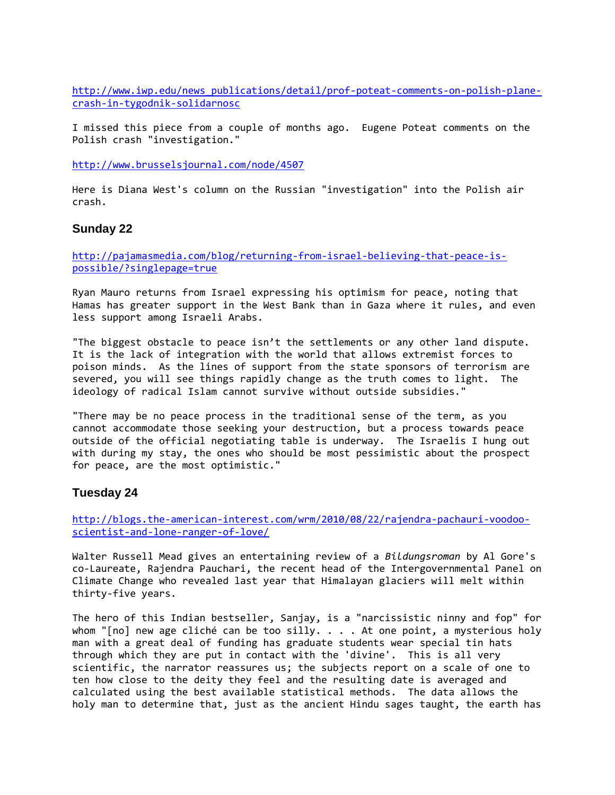[http://www.iwp.edu/news\\_publications/detail/prof-poteat-comments-on-polish-plane](http://www.iwp.edu/news_publications/detail/prof-poteat-comments-on-polish-plane-crash-in-tygodnik-solidarnosc)[crash-in-tygodnik-solidarnosc](http://www.iwp.edu/news_publications/detail/prof-poteat-comments-on-polish-plane-crash-in-tygodnik-solidarnosc)

I missed this piece from a couple of months ago. Eugene Poteat comments on the Polish crash "investigation."

<http://www.brusselsjournal.com/node/4507>

Here is Diana West's column on the Russian "investigation" into the Polish air crash.

#### **Sunday 22**

[http://pajamasmedia.com/blog/returning-from-israel-believing-that-peace-is](http://pajamasmedia.com/blog/returning-from-israel-believing-that-peace-is-possible/?singlepage=true)[possible/?singlepage=true](http://pajamasmedia.com/blog/returning-from-israel-believing-that-peace-is-possible/?singlepage=true)

Ryan Mauro returns from Israel expressing his optimism for peace, noting that Hamas has greater support in the West Bank than in Gaza where it rules, and even less support among Israeli Arabs.

"The biggest obstacle to peace isn't the settlements or any other land dispute. It is the lack of integration with the world that allows extremist forces to poison minds. As the lines of support from the state sponsors of terrorism are severed, you will see things rapidly change as the truth comes to light. The ideology of radical Islam cannot survive without outside subsidies."

"There may be no peace process in the traditional sense of the term, as you cannot accommodate those seeking your destruction, but a process towards peace outside of the official negotiating table is underway. The Israelis I hung out with during my stay, the ones who should be most pessimistic about the prospect for peace, are the most optimistic."

### **Tuesday 24**

[http://blogs.the-american-interest.com/wrm/2010/08/22/rajendra-pachauri-voodoo](http://blogs.the-american-interest.com/wrm/2010/08/22/rajendra-pachauri-voodoo-scientist-and-lone-ranger-of-love/)[scientist-and-lone-ranger-of-love/](http://blogs.the-american-interest.com/wrm/2010/08/22/rajendra-pachauri-voodoo-scientist-and-lone-ranger-of-love/)

Walter Russell Mead gives an entertaining review of a *Bildungsroman* by Al Gore's co-Laureate, Rajendra Pauchari, the recent head of the Intergovernmental Panel on Climate Change who revealed last year that Himalayan glaciers will melt within thirty-five years.

The hero of this Indian bestseller, Sanjay, is a "narcissistic ninny and fop" for whom "[no] new age cliché can be too silly. . . . At one point, a mysterious holy man with a great deal of funding has graduate students wear special tin hats through which they are put in contact with the 'divine'. This is all very scientific, the narrator reassures us; the subjects report on a scale of one to ten how close to the deity they feel and the resulting date is averaged and calculated using the best available statistical methods. The data allows the holy man to determine that, just as the ancient Hindu sages taught, the earth has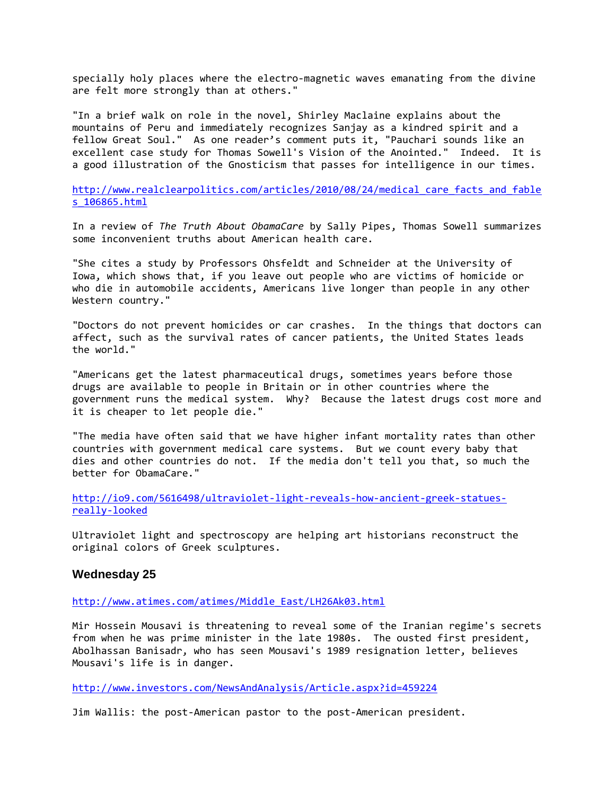specially holy places where the electro-magnetic waves emanating from the divine are felt more strongly than at others."

"In a brief walk on role in the novel, Shirley Maclaine explains about the mountains of Peru and immediately recognizes Sanjay as a kindred spirit and a fellow Great Soul." As one reader's comment puts it, "Pauchari sounds like an excellent case study for Thomas Sowell's Vision of the Anointed." Indeed. It is a good illustration of the Gnosticism that passes for intelligence in our times.

http://www.realclearpolitics.com/articles/2010/08/24/medical care facts and fable [s\\_106865.html](http://www.realclearpolitics.com/articles/2010/08/24/medical_care_facts_and_fables_106865.html)

In a review of *The Truth About ObamaCare* by Sally Pipes, Thomas Sowell summarizes some inconvenient truths about American health care.

"She cites a study by Professors Ohsfeldt and Schneider at the University of Iowa, which shows that, if you leave out people who are victims of homicide or who die in automobile accidents, Americans live longer than people in any other Western country."

"Doctors do not prevent homicides or car crashes. In the things that doctors can affect, such as the survival rates of cancer patients, the United States leads the world."

"Americans get the latest pharmaceutical drugs, sometimes years before those drugs are available to people in Britain or in other countries where the government runs the medical system. Why? Because the latest drugs cost more and it is cheaper to let people die."

"The media have often said that we have higher infant mortality rates than other countries with government medical care systems. But we count every baby that dies and other countries do not. If the media don't tell you that, so much the better for ObamaCare."

[http://io9.com/5616498/ultraviolet-light-reveals-how-ancient-greek-statues](http://io9.com/5616498/ultraviolet-light-reveals-how-ancient-greek-statues-really-looked)[really-looked](http://io9.com/5616498/ultraviolet-light-reveals-how-ancient-greek-statues-really-looked)

Ultraviolet light and spectroscopy are helping art historians reconstruct the original colors of Greek sculptures.

#### **Wednesday 25**

[http://www.atimes.com/atimes/Middle\\_East/LH26Ak03.html](http://www.atimes.com/atimes/Middle_East/LH26Ak03.html)

Mir Hossein Mousavi is threatening to reveal some of the Iranian regime's secrets from when he was prime minister in the late 1980s. The ousted first president, Abolhassan Banisadr, who has seen Mousavi's 1989 resignation letter, believes Mousavi's life is in danger.

<http://www.investors.com/NewsAndAnalysis/Article.aspx?id=459224>

Jim Wallis: the post-American pastor to the post-American president.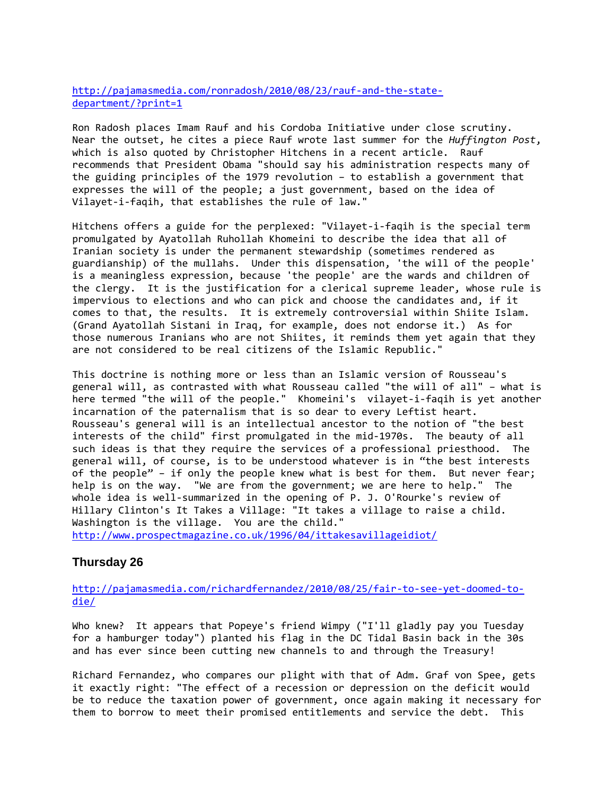[http://pajamasmedia.com/ronradosh/2010/08/23/rauf-and-the-state](http://pajamasmedia.com/ronradosh/2010/08/23/rauf-and-the-state-department/?print=1)[department/?print=1](http://pajamasmedia.com/ronradosh/2010/08/23/rauf-and-the-state-department/?print=1)

Ron Radosh places Imam Rauf and his Cordoba Initiative under close scrutiny. Near the outset, he cites a piece Rauf wrote last summer for the *Huffington Post*, which is also quoted by Christopher Hitchens in a recent article. Rauf recommends that President Obama "should say his administration respects many of the guiding principles of the 1979 revolution – to establish a government that expresses the will of the people; a just government, based on the idea of Vilayet-i-faqih, that establishes the rule of law."

Hitchens offers a guide for the perplexed: "Vilayet-i-faqih is the special term promulgated by Ayatollah Ruhollah Khomeini to describe the idea that all of Iranian society is under the permanent stewardship (sometimes rendered as guardianship) of the mullahs. Under this dispensation, 'the will of the people' is a meaningless expression, because 'the people' are the wards and children of the clergy. It is the justification for a clerical supreme leader, whose rule is impervious to elections and who can pick and choose the candidates and, if it comes to that, the results. It is extremely controversial within Shiite Islam. (Grand Ayatollah Sistani in Iraq, for example, does not endorse it.) As for those numerous Iranians who are not Shiites, it reminds them yet again that they are not considered to be real citizens of the Islamic Republic."

This doctrine is nothing more or less than an Islamic version of Rousseau's general will, as contrasted with what Rousseau called "the will of all" – what is here termed "the will of the people." Khomeini's vilayet-i-faqih is yet another incarnation of the paternalism that is so dear to every Leftist heart. Rousseau's general will is an intellectual ancestor to the notion of "the best interests of the child" first promulgated in the mid-1970s. The beauty of all such ideas is that they require the services of a professional priesthood. The general will, of course, is to be understood whatever is in "the best interests of the people" – if only the people knew what is best for them. But never fear; help is on the way. "We are from the government; we are here to help." The whole idea is well-summarized in the opening of P. J. O'Rourke's review of Hillary Clinton's It Takes a Village: "It takes a village to raise a child. Washington is the village. You are the child." <http://www.prospectmagazine.co.uk/1996/04/ittakesavillageidiot/>

### **Thursday 26**

[http://pajamasmedia.com/richardfernandez/2010/08/25/fair-to-see-yet-doomed-to](http://pajamasmedia.com/richardfernandez/2010/08/25/fair-to-see-yet-doomed-to-die/)[die/](http://pajamasmedia.com/richardfernandez/2010/08/25/fair-to-see-yet-doomed-to-die/)

Who knew? It appears that Popeye's friend Wimpy ("I'll gladly pay you Tuesday for a hamburger today") planted his flag in the DC Tidal Basin back in the 30s and has ever since been cutting new channels to and through the Treasury!

Richard Fernandez, who compares our plight with that of Adm. Graf von Spee, gets it exactly right: "The effect of a recession or depression on the deficit would be to reduce the taxation power of government, once again making it necessary for them to borrow to meet their promised entitlements and service the debt. This